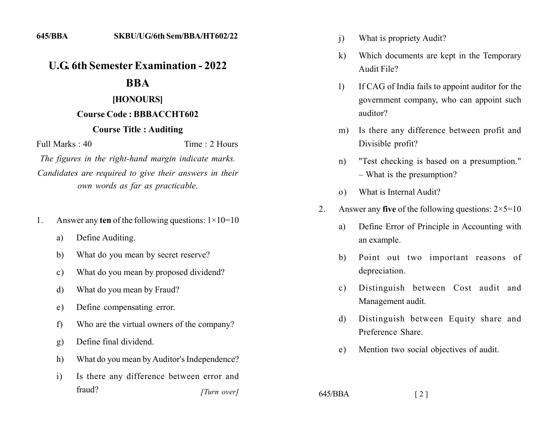# **U.G. 6th Semester Examination - 2022**

## **BBA**

#### [HONOURS]

### Course Code: BBBACCHT602

#### **Course Title: Auditing**

Full Marks  $\cdot$  40

Time  $\cdot$  2 Hours

The figures in the right-hand margin indicate marks. Candidates are required to give their answers in their own words as far as practicable.

- Answer any ten of the following questions:  $1 \times 10 = 10$  $1_{-}$ 
	- Define Auditing. a)
	- What do you mean by secret reserve? b)
	- What do you mean by proposed dividend?  $\mathbf{c}$ )
	- What do you mean by Fraud? d)
	- Define compensating error.  $e)$
	- Who are the virtual owners of the company?  $\mathbf{f}$
	- Define final dividend.  $g)$
	- What do you mean by Auditor's Independence? h)
	- Is there any difference between error and  $\rm i)$ fraud? [Turn over]
- What is propriety Audit?  $\overline{1}$
- Which documents are kept in the Temporary  $\bf k$ Audit File?
- If CAG of India fails to appoint auditor for the  $\mathbf{D}$ government company, who can appoint such auditor?
- Is there any difference between profit and  $m)$ Divisible profit?
- "Test checking is based on a presumption."  $n)$ - What is the presumption?
- What is Internal Audit?  $\Omega$ )
- Answer any five of the following questions:  $2 \times 5 = 10$  $\overline{2}$ 
	- Define Error of Principle in Accounting with a) an example.
	- Point out two important reasons of b) depreciation.
	- Distinguish between Cost audit and  $c)$ Management audit.
	- Distinguish between Equity share and d) Preference Share.
	- Mention two social objectives of audit.  $e)$

 $\lceil 2 \rceil$ 

 $645/BBA$